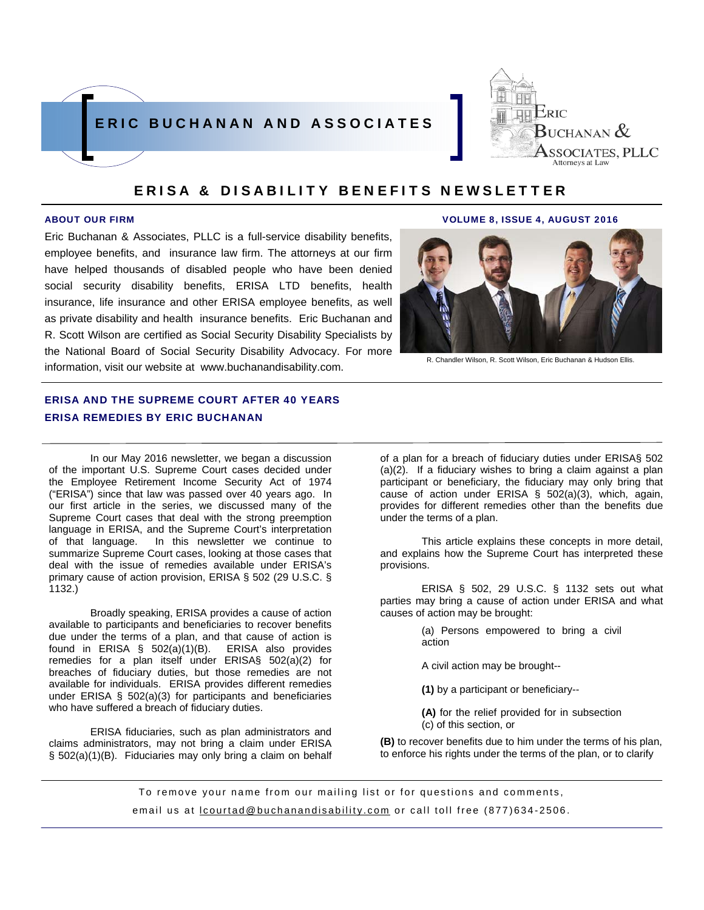



Eric Buchanan & Associates, PLLC is a full-service disability benefits, employee benefits, and insurance law firm. The attorneys at our firm have helped thousands of disabled people who have been denied social security disability benefits, ERISA LTD benefits, health insurance, life insurance and other ERISA employee benefits, as well as private disability and health insurance benefits. Eric Buchanan and R. Scott Wilson are certified as Social Security Disability Specialists by the National Board of Social Security Disability Advocacy. For more information, visit our website at www.buchanandisability.com.

# ERISA AND THE SUPREME COURT AFTER 40 YEARS ERISA REMEDIES BY ERIC BUCHANAN

In our May 2016 newsletter, we began a discussion of the important U.S. Supreme Court cases decided under the Employee Retirement Income Security Act of 1974 ("ERISA") since that law was passed over 40 years ago. In our first article in the series, we discussed many of the Supreme Court cases that deal with the strong preemption language in ERISA, and the Supreme Court's interpretation of that language. In this newsletter we continue to summarize Supreme Court cases, looking at those cases that deal with the issue of remedies available under ERISA's primary cause of action provision, ERISA § 502 (29 U.S.C. § 1132.)

Broadly speaking, ERISA provides a cause of action available to participants and beneficiaries to recover benefits due under the terms of a plan, and that cause of action is found in ERISA § 502(a)(1)(B). ERISA also provides remedies for a plan itself under ERISA§ 502(a)(2) for breaches of fiduciary duties, but those remedies are not available for individuals. ERISA provides different remedies under ERISA § 502(a)(3) for participants and beneficiaries who have suffered a breach of fiduciary duties.

ERISA fiduciaries, such as plan administrators and claims administrators, may not bring a claim under ERISA § 502(a)(1)(B). Fiduciaries may only bring a claim on behalf

#### ABOUT OUR FIRM VOLUME 8, ISSUE 4, AUGUST 2016



R. Chandler Wilson, R. Scott Wilson, Eric Buchanan & Hudson Ellis.

of a plan for a breach of fiduciary duties under ERISA§ 502 (a)(2). If a fiduciary wishes to bring a claim against a plan participant or beneficiary, the fiduciary may only bring that cause of action under ERISA § 502(a)(3), which, again, provides for different remedies other than the benefits due under the terms of a plan.

This article explains these concepts in more detail, and explains how the Supreme Court has interpreted these provisions.

ERISA § 502, 29 U.S.C. § 1132 sets out what parties may bring a cause of action under ERISA and what causes of action may be brought:

> (a) Persons empowered to bring a civil action

A civil action may be brought--

**(1)** by a participant or beneficiary--

**(A)** for the relief provided for in subsection (c) of this section, or

**(B)** to recover benefits due to him under the terms of his plan, to enforce his rights under the terms of the plan, or to clarify

To remove your name from our mailing list or for questions and comments, email us at **lcourtad@buchanandisability.com** or call toll free (877)634-2506.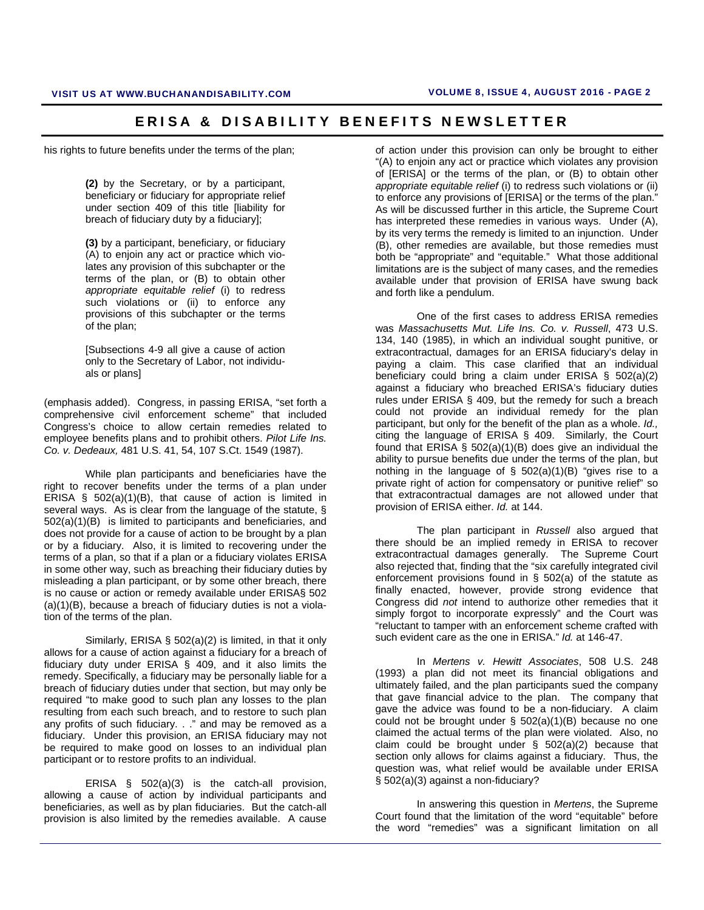his rights to future benefits under the terms of the plan;

**(2)** by the Secretary, or by a participant, beneficiary or fiduciary for appropriate relief under section 409 of this title [liability for breach of fiduciary duty by a fiduciary];

**(3)** by a participant, beneficiary, or fiduciary (A) to enjoin any act or practice which violates any provision of this subchapter or the terms of the plan, or (B) to obtain other *appropriate equitable relief* (i) to redress such violations or (ii) to enforce any provisions of this subchapter or the terms of the plan;

[Subsections 4-9 all give a cause of action only to the Secretary of Labor, not individuals or plans]

(emphasis added). Congress, in passing ERISA, "set forth a comprehensive civil enforcement scheme" that included Congress's choice to allow certain remedies related to employee benefits plans and to prohibit others. *Pilot Life Ins. Co. v. Dedeaux,* 481 U.S. 41, 54, 107 S.Ct. 1549 (1987).

 While plan participants and beneficiaries have the right to recover benefits under the terms of a plan under ERISA § 502(a)(1)(B), that cause of action is limited in several ways. As is clear from the language of the statute, § 502(a)(1)(B) is limited to participants and beneficiaries, and does not provide for a cause of action to be brought by a plan or by a fiduciary. Also, it is limited to recovering under the terms of a plan, so that if a plan or a fiduciary violates ERISA in some other way, such as breaching their fiduciary duties by misleading a plan participant, or by some other breach, there is no cause or action or remedy available under ERISA§ 502 (a)(1)(B), because a breach of fiduciary duties is not a violation of the terms of the plan.

 Similarly, ERISA § 502(a)(2) is limited, in that it only allows for a cause of action against a fiduciary for a breach of fiduciary duty under ERISA § 409, and it also limits the remedy. Specifically, a fiduciary may be personally liable for a breach of fiduciary duties under that section, but may only be required "to make good to such plan any losses to the plan resulting from each such breach, and to restore to such plan any profits of such fiduciary. . ." and may be removed as a fiduciary. Under this provision, an ERISA fiduciary may not be required to make good on losses to an individual plan participant or to restore profits to an individual.

 ERISA § 502(a)(3) is the catch-all provision, allowing a cause of action by individual participants and beneficiaries, as well as by plan fiduciaries. But the catch-all provision is also limited by the remedies available. A cause

of action under this provision can only be brought to either "(A) to enjoin any act or practice which violates any provision of [ERISA] or the terms of the plan, or (B) to obtain other *appropriate equitable relief* (i) to redress such violations or (ii) to enforce any provisions of [ERISA] or the terms of the plan." As will be discussed further in this article, the Supreme Court has interpreted these remedies in various ways. Under (A), by its very terms the remedy is limited to an injunction. Under (B), other remedies are available, but those remedies must both be "appropriate" and "equitable." What those additional limitations are is the subject of many cases, and the remedies available under that provision of ERISA have swung back and forth like a pendulum.

One of the first cases to address ERISA remedies was *Massachusetts Mut. Life Ins. Co. v. Russell*, 473 U.S. 134, 140 (1985), in which an individual sought punitive, or extracontractual, damages for an ERISA fiduciary's delay in paying a claim. This case clarified that an individual beneficiary could bring a claim under ERISA § 502(a)(2) against a fiduciary who breached ERISA's fiduciary duties rules under ERISA § 409, but the remedy for such a breach could not provide an individual remedy for the plan participant, but only for the benefit of the plan as a whole. *Id.,*  citing the language of ERISA § 409. Similarly, the Court found that  $ERISA \S 502(a)(1)(B)$  does give an individual the ability to pursue benefits due under the terms of the plan, but nothing in the language of  $\S$  502(a)(1)(B) "gives rise to a private right of action for compensatory or punitive relief" so that extracontractual damages are not allowed under that provision of ERISA either. *Id.* at 144.

The plan participant in *Russell* also argued that there should be an implied remedy in ERISA to recover extracontractual damages generally. The Supreme Court also rejected that, finding that the "six carefully integrated civil enforcement provisions found in § 502(a) of the statute as finally enacted, however, provide strong evidence that Congress did *not* intend to authorize other remedies that it simply forgot to incorporate expressly" and the Court was "reluctant to tamper with an enforcement scheme crafted with such evident care as the one in ERISA." *Id.* at 146-47.

In *Mertens v. Hewitt Associates*, 508 U.S. 248 (1993) a plan did not meet its financial obligations and ultimately failed, and the plan participants sued the company that gave financial advice to the plan. The company that gave the advice was found to be a non-fiduciary. A claim could not be brought under § 502(a)(1)(B) because no one claimed the actual terms of the plan were violated. Also, no claim could be brought under § 502(a)(2) because that section only allows for claims against a fiduciary. Thus, the question was, what relief would be available under ERISA § 502(a)(3) against a non-fiduciary?

In answering this question in *Mertens*, the Supreme Court found that the limitation of the word "equitable" before the word "remedies" was a significant limitation on all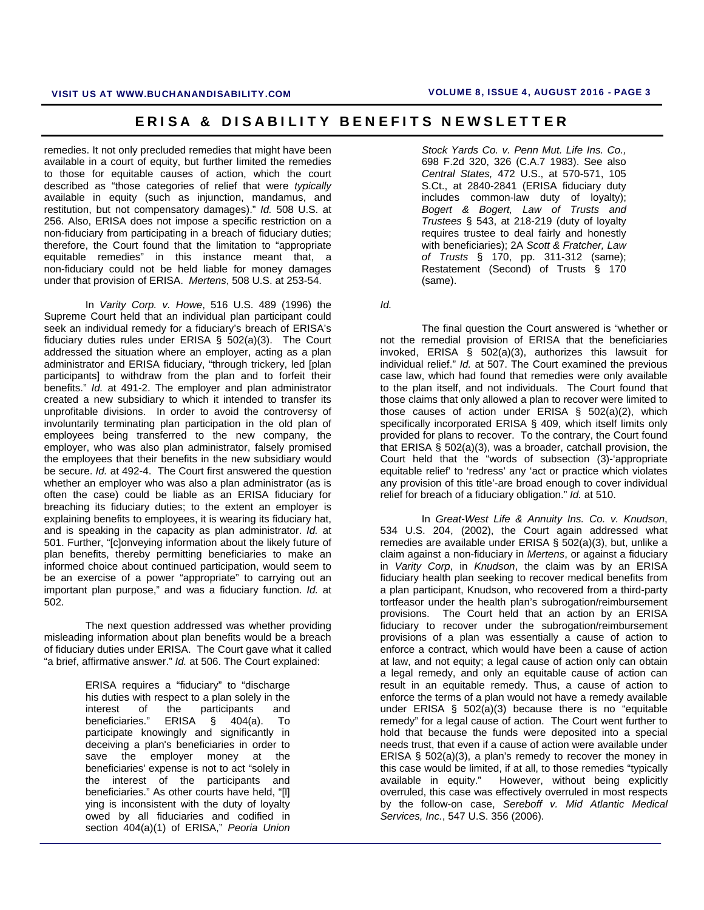remedies. It not only precluded remedies that might have been available in a court of equity, but further limited the remedies to those for equitable causes of action, which the court described as "those categories of relief that were *typically* available in equity (such as injunction, mandamus, and restitution, but not compensatory damages)." *Id.* 508 U.S. at 256. Also, ERISA does not impose a specific restriction on a non-fiduciary from participating in a breach of fiduciary duties; therefore, the Court found that the limitation to "appropriate equitable remedies" in this instance meant that, a non-fiduciary could not be held liable for money damages under that provision of ERISA. *Mertens*, 508 U.S. at 253-54.

In *Varity Corp. v. Howe*, 516 U.S. 489 (1996) the Supreme Court held that an individual plan participant could seek an individual remedy for a fiduciary's breach of ERISA's fiduciary duties rules under ERISA § 502(a)(3). The Court addressed the situation where an employer, acting as a plan administrator and ERISA fiduciary, "through trickery, led [plan participants] to withdraw from the plan and to forfeit their benefits." *Id.* at 491-2. The employer and plan administrator created a new subsidiary to which it intended to transfer its unprofitable divisions. In order to avoid the controversy of involuntarily terminating plan participation in the old plan of employees being transferred to the new company, the employer, who was also plan administrator, falsely promised the employees that their benefits in the new subsidiary would be secure. *Id.* at 492-4. The Court first answered the question whether an employer who was also a plan administrator (as is often the case) could be liable as an ERISA fiduciary for breaching its fiduciary duties; to the extent an employer is explaining benefits to employees, it is wearing its fiduciary hat, and is speaking in the capacity as plan administrator. *Id.* at 501. Further, "[c]onveying information about the likely future of plan benefits, thereby permitting beneficiaries to make an informed choice about continued participation, would seem to be an exercise of a power "appropriate" to carrying out an important plan purpose," and was a fiduciary function. *Id.* at 502.

The next question addressed was whether providing misleading information about plan benefits would be a breach of fiduciary duties under ERISA. The Court gave what it called "a brief, affirmative answer." *Id.* at 506. The Court explained:

> ERISA requires a "fiduciary" to "discharge his duties with respect to a plan solely in the interest of the participants and<br>beneficiaries." ERISA § 404(a). To ERISA  $§$  404(a). To participate knowingly and significantly in deceiving a plan's beneficiaries in order to save the employer money at the beneficiaries' expense is not to act "solely in the interest of the participants and beneficiaries." As other courts have held, "[l] ying is inconsistent with the duty of loyalty owed by all fiduciaries and codified in section 404(a)(1) of ERISA," *Peoria Union*

*Stock Yards Co. v. Penn Mut. Life Ins. Co.,* 698 F.2d 320, 326 (C.A.7 1983). See also *Central States,* 472 U.S., at 570-571, 105 S.Ct., at 2840-2841 (ERISA fiduciary duty includes common-law duty of loyalty); *Bogert & Bogert, Law of Trusts and Trustees* § 543, at 218-219 (duty of loyalty requires trustee to deal fairly and honestly with beneficiaries); 2A *Scott & Fratcher, Law of Trusts* § 170, pp. 311-312 (same); Restatement (Second) of Trusts § 170 (same).

*Id.* 

The final question the Court answered is "whether or not the remedial provision of ERISA that the beneficiaries invoked, ERISA § 502(a)(3), authorizes this lawsuit for individual relief." *Id.* at 507. The Court examined the previous case law, which had found that remedies were only available to the plan itself, and not individuals. The Court found that those claims that only allowed a plan to recover were limited to those causes of action under ERISA § 502(a)(2), which specifically incorporated ERISA § 409, which itself limits only provided for plans to recover. To the contrary, the Court found that ERISA § 502(a)(3), was a broader, catchall provision, the Court held that the "words of subsection (3)-'appropriate equitable relief' to 'redress' any 'act or practice which violates any provision of this title'-are broad enough to cover individual relief for breach of a fiduciary obligation." *Id.* at 510.

In *Great-West Life & Annuity Ins. Co. v. Knudson*, 534 U.S. 204, (2002), the Court again addressed what remedies are available under ERISA § 502(a)(3), but, unlike a claim against a non-fiduciary in *Mertens*, or against a fiduciary in *Varity Corp*, in *Knudson*, the claim was by an ERISA fiduciary health plan seeking to recover medical benefits from a plan participant, Knudson, who recovered from a third-party tortfeasor under the health plan's subrogation/reimbursement provisions. The Court held that an action by an ERISA fiduciary to recover under the subrogation/reimbursement provisions of a plan was essentially a cause of action to enforce a contract, which would have been a cause of action at law, and not equity; a legal cause of action only can obtain a legal remedy, and only an equitable cause of action can result in an equitable remedy. Thus, a cause of action to enforce the terms of a plan would not have a remedy available under ERISA § 502(a)(3) because there is no "equitable remedy" for a legal cause of action. The Court went further to hold that because the funds were deposited into a special needs trust, that even if a cause of action were available under ERISA § 502(a)(3), a plan's remedy to recover the money in this case would be limited, if at all, to those remedies "typically available in equity." However, without being explicitly overruled, this case was effectively overruled in most respects by the follow-on case, *Sereboff v. Mid Atlantic Medical Services, Inc.*, 547 U.S. 356 (2006).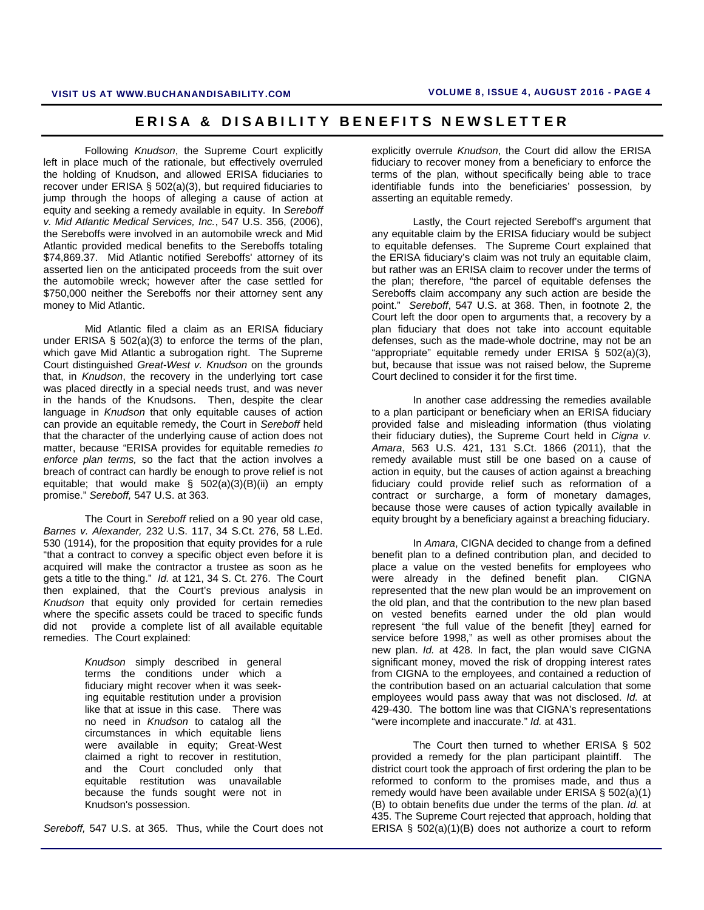Following *Knudson*, the Supreme Court explicitly left in place much of the rationale, but effectively overruled the holding of Knudson, and allowed ERISA fiduciaries to recover under ERISA § 502(a)(3), but required fiduciaries to jump through the hoops of alleging a cause of action at equity and seeking a remedy available in equity. In *Sereboff v. Mid Atlantic Medical Services, Inc.*, 547 U.S. 356, (2006), the Sereboffs were involved in an automobile wreck and Mid Atlantic provided medical benefits to the Sereboffs totaling \$74,869.37. Mid Atlantic notified Sereboffs' attorney of its asserted lien on the anticipated proceeds from the suit over the automobile wreck; however after the case settled for \$750,000 neither the Sereboffs nor their attorney sent any money to Mid Atlantic.

 Mid Atlantic filed a claim as an ERISA fiduciary under ERISA § 502(a)(3) to enforce the terms of the plan, which gave Mid Atlantic a subrogation right. The Supreme Court distinguished *Great-West v. Knudson* on the grounds that, in *Knudson*, the recovery in the underlying tort case was placed directly in a special needs trust, and was never in the hands of the Knudsons. Then, despite the clear language in *Knudson* that only equitable causes of action can provide an equitable remedy, the Court in *Sereboff* held that the character of the underlying cause of action does not matter, because "ERISA provides for equitable remedies *to enforce plan terms,* so the fact that the action involves a breach of contract can hardly be enough to prove relief is not equitable; that would make  $\S$  502(a)(3)(B)(ii) an empty promise." *Sereboff,* 547 U.S. at 363.

 The Court in *Sereboff* relied on a 90 year old case, *Barnes v. Alexander,* 232 U.S. 117, 34 S.Ct. 276, 58 L.Ed. 530 (1914), for the proposition that equity provides for a rule "that a contract to convey a specific object even before it is acquired will make the contractor a trustee as soon as he gets a title to the thing." *Id.* at 121, 34 S. Ct. 276. The Court then explained, that the Court's previous analysis in *Knudson* that equity only provided for certain remedies where the specific assets could be traced to specific funds did not provide a complete list of all available equitable remedies. The Court explained:

> *Knudson* simply described in general terms the conditions under which a fiduciary might recover when it was seeking equitable restitution under a provision like that at issue in this case. There was no need in *Knudson* to catalog all the circumstances in which equitable liens were available in equity; Great-West claimed a right to recover in restitution, and the Court concluded only that equitable restitution was unavailable because the funds sought were not in Knudson's possession.

*Sereboff,* 547 U.S. at 365. Thus, while the Court does not

explicitly overrule *Knudson*, the Court did allow the ERISA fiduciary to recover money from a beneficiary to enforce the terms of the plan, without specifically being able to trace identifiable funds into the beneficiaries' possession, by asserting an equitable remedy.

 Lastly, the Court rejected Sereboff's argument that any equitable claim by the ERISA fiduciary would be subject to equitable defenses. The Supreme Court explained that the ERISA fiduciary's claim was not truly an equitable claim, but rather was an ERISA claim to recover under the terms of the plan; therefore, "the parcel of equitable defenses the Sereboffs claim accompany any such action are beside the point." *Sereboff*, 547 U.S. at 368. Then, in footnote 2, the Court left the door open to arguments that, a recovery by a plan fiduciary that does not take into account equitable defenses, such as the made-whole doctrine, may not be an "appropriate" equitable remedy under ERISA § 502(a)(3), but, because that issue was not raised below, the Supreme Court declined to consider it for the first time.

In another case addressing the remedies available to a plan participant or beneficiary when an ERISA fiduciary provided false and misleading information (thus violating their fiduciary duties), the Supreme Court held in *Cigna v. Amara*, 563 U.S. 421, 131 S.Ct. 1866 (2011), that the remedy available must still be one based on a cause of action in equity, but the causes of action against a breaching fiduciary could provide relief such as reformation of a contract or surcharge, a form of monetary damages, because those were causes of action typically available in equity brought by a beneficiary against a breaching fiduciary.

In *Amara*, CIGNA decided to change from a defined benefit plan to a defined contribution plan, and decided to place a value on the vested benefits for employees who were already in the defined benefit plan. CIGNA represented that the new plan would be an improvement on the old plan, and that the contribution to the new plan based on vested benefits earned under the old plan would represent "the full value of the benefit [they] earned for service before 1998," as well as other promises about the new plan. *Id.* at 428. In fact, the plan would save CIGNA significant money, moved the risk of dropping interest rates from CIGNA to the employees, and contained a reduction of the contribution based on an actuarial calculation that some employees would pass away that was not disclosed. *Id.* at 429-430. The bottom line was that CIGNA's representations "were incomplete and inaccurate." *Id.* at 431.

The Court then turned to whether ERISA § 502 provided a remedy for the plan participant plaintiff. The district court took the approach of first ordering the plan to be reformed to conform to the promises made, and thus a remedy would have been available under ERISA § 502(a)(1) (B) to obtain benefits due under the terms of the plan. *Id.* at 435. The Supreme Court rejected that approach, holding that ERISA § 502(a)(1)(B) does not authorize a court to reform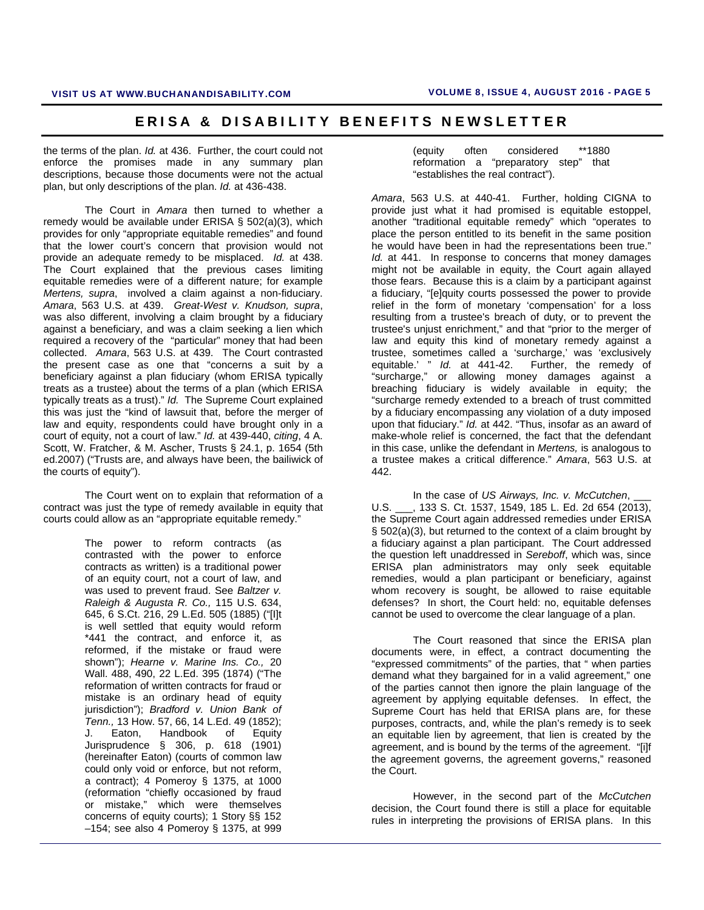the terms of the plan. *Id.* at 436. Further, the court could not enforce the promises made in any summary plan descriptions, because those documents were not the actual plan, but only descriptions of the plan. *Id.* at 436-438.

The Court in *Amara* then turned to whether a remedy would be available under ERISA § 502(a)(3), which provides for only "appropriate equitable remedies" and found that the lower court's concern that provision would not provide an adequate remedy to be misplaced. *Id.* at 438. The Court explained that the previous cases limiting equitable remedies were of a different nature; for example *Mertens, supra*, involved a claim against a non-fiduciary. *Amara*, 563 U.S. at 439. *Great-West v. Knudson, supra*, was also different, involving a claim brought by a fiduciary against a beneficiary, and was a claim seeking a lien which required a recovery of the "particular" money that had been collected. *Amara*, 563 U.S. at 439. The Court contrasted the present case as one that "concerns a suit by a beneficiary against a plan fiduciary (whom ERISA typically treats as a trustee) about the terms of a plan (which ERISA typically treats as a trust)." *Id.* The Supreme Court explained this was just the "kind of lawsuit that, before the merger of law and equity, respondents could have brought only in a court of equity, not a court of law." *Id.* at 439-440, *citing*, 4 A. Scott, W. Fratcher, & M. Ascher, Trusts § 24.1, p. 1654 (5th ed.2007) ("Trusts are, and always have been, the bailiwick of the courts of equity").

The Court went on to explain that reformation of a contract was just the type of remedy available in equity that courts could allow as an "appropriate equitable remedy."

> The power to reform contracts (as contrasted with the power to enforce contracts as written) is a traditional power of an equity court, not a court of law, and was used to prevent fraud. See *Baltzer v. Raleigh & Augusta R. Co.,* 115 U.S. 634, 645, 6 S.Ct. 216, 29 L.Ed. 505 (1885) ("[I]t is well settled that equity would reform \*441 the contract, and enforce it, as reformed, if the mistake or fraud were shown"); *Hearne v. Marine Ins. Co.,* 20 Wall. 488, 490, 22 L.Ed. 395 (1874) ("The reformation of written contracts for fraud or mistake is an ordinary head of equity jurisdiction"); *Bradford v. Union Bank of Tenn.,* 13 How. 57, 66, 14 L.Ed. 49 (1852); J. Eaton, Handbook of Equity Jurisprudence § 306, p. 618 (1901) (hereinafter Eaton) (courts of common law could only void or enforce, but not reform, a contract); 4 Pomeroy § 1375, at 1000 (reformation "chiefly occasioned by fraud or mistake," which were themselves concerns of equity courts); 1 Story §§ 152 –154; see also 4 Pomeroy § 1375, at 999

(equity often considered \*\*1880 reformation a "preparatory step" that "establishes the real contract").

*Amara*, 563 U.S. at 440-41. Further, holding CIGNA to provide just what it had promised is equitable estoppel, another "traditional equitable remedy" which "operates to place the person entitled to its benefit in the same position he would have been in had the representations been true." *Id.* at 441. In response to concerns that money damages might not be available in equity, the Court again allayed those fears. Because this is a claim by a participant against a fiduciary, "[e]quity courts possessed the power to provide relief in the form of monetary 'compensation' for a loss resulting from a trustee's breach of duty, or to prevent the trustee's unjust enrichment," and that "prior to the merger of law and equity this kind of monetary remedy against a trustee, sometimes called a 'surcharge,' was 'exclusively equitable.' " *Id.* at 441-42. Further, the remedy of "surcharge," or allowing money damages against a breaching fiduciary is widely available in equity; the "surcharge remedy extended to a breach of trust committed by a fiduciary encompassing any violation of a duty imposed upon that fiduciary." *Id.* at 442. "Thus, insofar as an award of make-whole relief is concerned, the fact that the defendant in this case, unlike the defendant in *Mertens,* is analogous to a trustee makes a critical difference." *Amara*, 563 U.S. at 442.

In the case of *US Airways, Inc. v. McCutchen*, U.S. \_\_\_, 133 S. Ct. 1537, 1549, 185 L. Ed. 2d 654 (2013), the Supreme Court again addressed remedies under ERISA § 502(a)(3), but returned to the context of a claim brought by a fiduciary against a plan participant. The Court addressed the question left unaddressed in *Sereboff*, which was, since ERISA plan administrators may only seek equitable remedies, would a plan participant or beneficiary, against whom recovery is sought, be allowed to raise equitable defenses? In short, the Court held: no, equitable defenses cannot be used to overcome the clear language of a plan.

The Court reasoned that since the ERISA plan documents were, in effect, a contract documenting the "expressed commitments" of the parties, that " when parties demand what they bargained for in a valid agreement," one of the parties cannot then ignore the plain language of the agreement by applying equitable defenses. In effect, the Supreme Court has held that ERISA plans are, for these purposes, contracts, and, while the plan's remedy is to seek an equitable lien by agreement, that lien is created by the agreement, and is bound by the terms of the agreement. "[i]f the agreement governs, the agreement governs," reasoned the Court.

However, in the second part of the *McCutchen* decision, the Court found there is still a place for equitable rules in interpreting the provisions of ERISA plans. In this